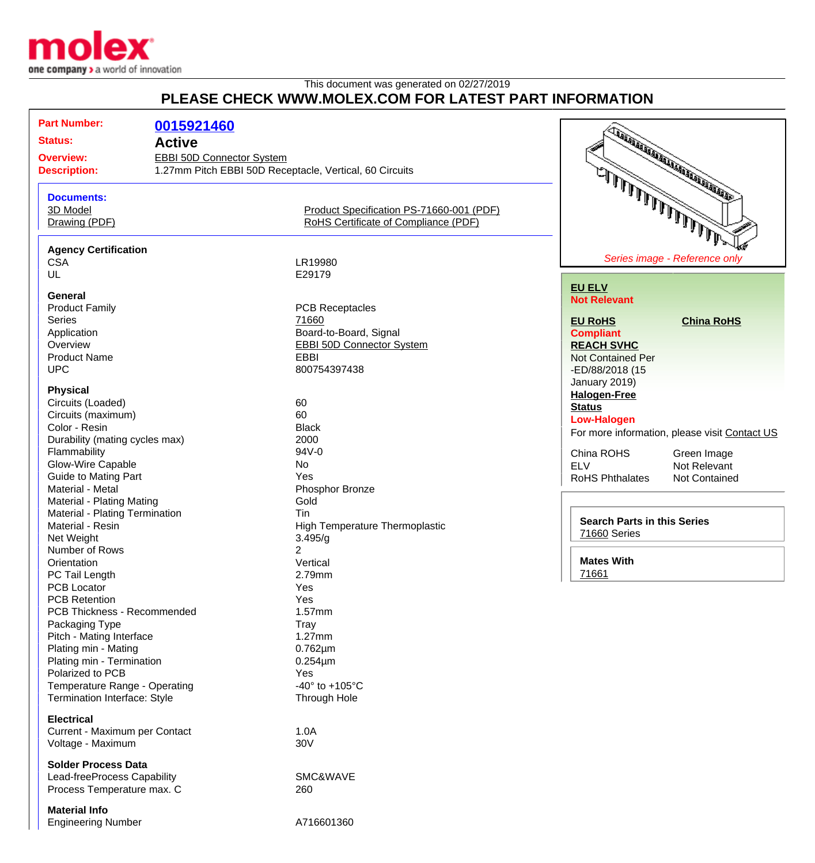

## This document was generated on 02/27/2019 **PLEASE CHECK WWW.MOLEX.COM FOR LATEST PART INFORMATION**

| <b>Part Number:</b>                                  |                                                         |                                          |                                                    |                                               |
|------------------------------------------------------|---------------------------------------------------------|------------------------------------------|----------------------------------------------------|-----------------------------------------------|
| <b>Status:</b>                                       | 0015921460                                              |                                          |                                                    | <b>CONSTRUCTION OF THE OWNER WARDEN</b>       |
|                                                      | <b>Active</b>                                           |                                          |                                                    |                                               |
| <b>Overview:</b><br><b>EBBI 50D Connector System</b> |                                                         |                                          |                                                    |                                               |
| <b>Description:</b>                                  | 1.27mm Pitch EBBI 50D Receptacle, Vertical, 60 Circuits |                                          |                                                    |                                               |
|                                                      |                                                         |                                          |                                                    |                                               |
| <b>Documents:</b>                                    |                                                         |                                          |                                                    |                                               |
| 3D Model                                             |                                                         | Product Specification PS-71660-001 (PDF) |                                                    |                                               |
| Drawing (PDF)                                        |                                                         | RoHS Certificate of Compliance (PDF)     |                                                    |                                               |
| شرطهما والمالمالي المالي الملالي                     |                                                         |                                          |                                                    |                                               |
| <b>Agency Certification</b>                          |                                                         |                                          |                                                    |                                               |
| <b>CSA</b>                                           |                                                         | LR19980                                  |                                                    | Series image - Reference only                 |
| UL                                                   |                                                         | E29179                                   |                                                    |                                               |
|                                                      |                                                         |                                          | <b>EU ELV</b>                                      |                                               |
| <b>General</b>                                       |                                                         |                                          | <b>Not Relevant</b>                                |                                               |
| <b>Product Family</b>                                |                                                         | <b>PCB Receptacles</b>                   |                                                    |                                               |
| <b>Series</b>                                        |                                                         | 71660                                    | <b>EU RoHS</b>                                     | <b>China RoHS</b>                             |
| Application                                          |                                                         | Board-to-Board, Signal                   | <b>Compliant</b>                                   |                                               |
| Overview                                             |                                                         | <b>EBBI 50D Connector System</b>         | <b>REACH SVHC</b>                                  |                                               |
| <b>Product Name</b>                                  |                                                         | <b>EBBI</b>                              | <b>Not Contained Per</b>                           |                                               |
| <b>UPC</b>                                           |                                                         | 800754397438                             | -ED/88/2018 (15                                    |                                               |
| <b>Physical</b>                                      |                                                         |                                          | January 2019)                                      |                                               |
| Circuits (Loaded)                                    |                                                         | 60                                       | <b>Halogen-Free</b>                                |                                               |
| Circuits (maximum)                                   |                                                         | 60                                       | <b>Status</b>                                      |                                               |
| Color - Resin                                        |                                                         | <b>Black</b>                             | <b>Low-Halogen</b>                                 |                                               |
| Durability (mating cycles max)                       |                                                         | 2000                                     |                                                    | For more information, please visit Contact US |
| Flammability                                         |                                                         | 94V-0                                    | China ROHS                                         | Green Image                                   |
| Glow-Wire Capable                                    |                                                         | No                                       | <b>ELV</b>                                         | Not Relevant                                  |
| Guide to Mating Part                                 |                                                         | Yes                                      | RoHS Phthalates                                    | Not Contained                                 |
| Material - Metal                                     |                                                         | Phosphor Bronze                          |                                                    |                                               |
| Material - Plating Mating                            |                                                         | Gold                                     |                                                    |                                               |
| Material - Plating Termination                       |                                                         | <b>Tin</b>                               |                                                    |                                               |
| Material - Resin                                     |                                                         | High Temperature Thermoplastic           | <b>Search Parts in this Series</b><br>71660 Series |                                               |
| Net Weight                                           |                                                         | 3.495/g                                  |                                                    |                                               |
| Number of Rows                                       |                                                         | 2                                        |                                                    |                                               |
| Orientation                                          |                                                         | Vertical                                 | <b>Mates With</b>                                  |                                               |
| PC Tail Length                                       |                                                         | 2.79mm                                   | 71661                                              |                                               |
| PCB Locator                                          |                                                         | Yes                                      |                                                    |                                               |
| <b>PCB Retention</b>                                 |                                                         | Yes                                      |                                                    |                                               |
| PCB Thickness - Recommended                          |                                                         | 1.57mm                                   |                                                    |                                               |
| Packaging Type                                       |                                                         | Tray                                     |                                                    |                                               |
| Pitch - Mating Interface                             |                                                         | $1.27$ mm                                |                                                    |                                               |
| Plating min - Mating                                 |                                                         | $0.762 \mu m$                            |                                                    |                                               |
| Plating min - Termination                            |                                                         | $0.254 \mu m$                            |                                                    |                                               |
| Polarized to PCB                                     |                                                         | Yes                                      |                                                    |                                               |
| Temperature Range - Operating                        |                                                         | -40 $^{\circ}$ to +105 $^{\circ}$ C      |                                                    |                                               |
| Termination Interface: Style                         |                                                         | Through Hole                             |                                                    |                                               |
|                                                      |                                                         |                                          |                                                    |                                               |
| <b>Electrical</b>                                    |                                                         |                                          |                                                    |                                               |
| Current - Maximum per Contact                        |                                                         | 1.0A                                     |                                                    |                                               |
| Voltage - Maximum                                    |                                                         | 30V                                      |                                                    |                                               |
|                                                      |                                                         |                                          |                                                    |                                               |
| <b>Solder Process Data</b>                           |                                                         |                                          |                                                    |                                               |
| Lead-freeProcess Capability                          |                                                         | SMC&WAVE                                 |                                                    |                                               |
| Process Temperature max. C                           |                                                         | 260                                      |                                                    |                                               |
| Matarial Infa                                        |                                                         |                                          |                                                    |                                               |

**Material Info** Engineering Number **A716601360**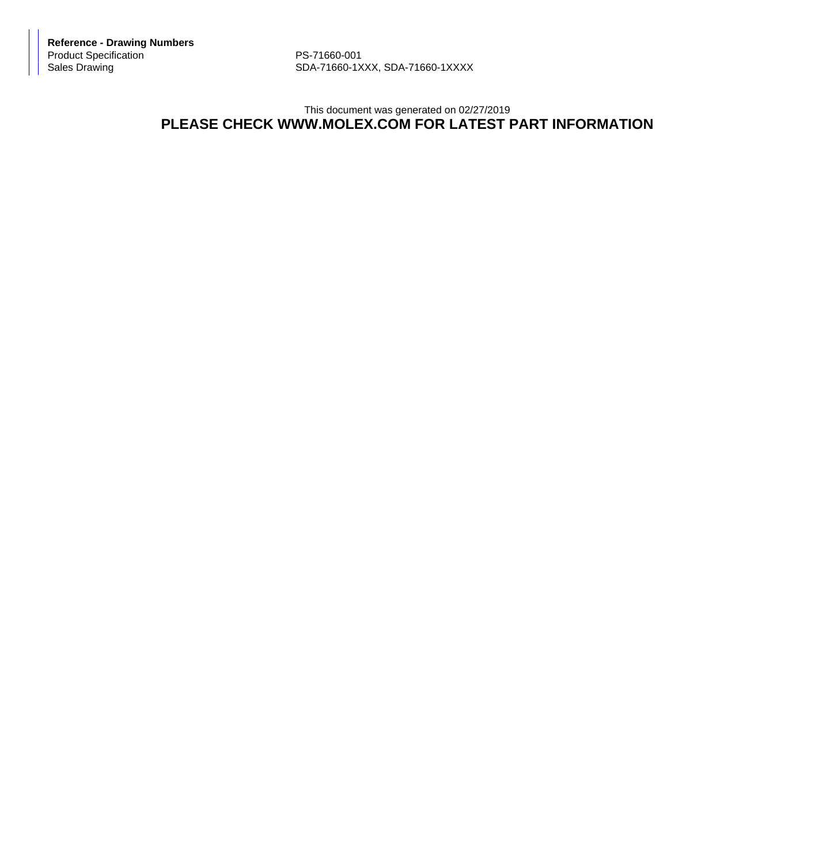**Reference - Drawing Numbers** Product Specification PS-71660-001<br>Sales Drawing PS-71660-1X

SDA-71660-1XXX, SDA-71660-1XXXX

## This document was generated on 02/27/2019 **PLEASE CHECK WWW.MOLEX.COM FOR LATEST PART INFORMATION**